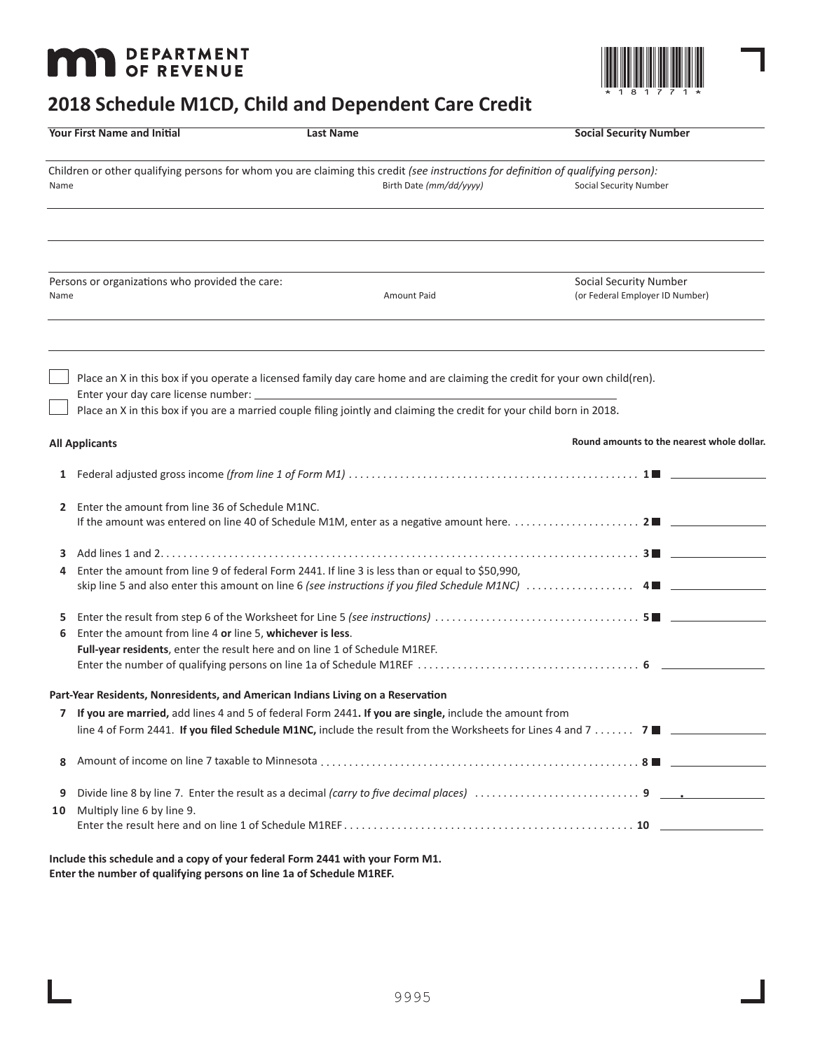# **MAT DEPARTMENT**



# **2018 Schedule M1CD, Child and Dependent Care Credit**

|                                                                                                                                            | <b>Your First Name and Initial</b>                                                                                                                                                                                                                                                              | <b>Last Name</b> |                         | <b>Social Security Number</b>                                                                                |
|--------------------------------------------------------------------------------------------------------------------------------------------|-------------------------------------------------------------------------------------------------------------------------------------------------------------------------------------------------------------------------------------------------------------------------------------------------|------------------|-------------------------|--------------------------------------------------------------------------------------------------------------|
| Children or other qualifying persons for whom you are claiming this credit (see instructions for definition of qualifying person):<br>Name |                                                                                                                                                                                                                                                                                                 |                  | Birth Date (mm/dd/yyyy) | Social Security Number                                                                                       |
|                                                                                                                                            |                                                                                                                                                                                                                                                                                                 |                  |                         |                                                                                                              |
| Name                                                                                                                                       | Persons or organizations who provided the care:                                                                                                                                                                                                                                                 |                  | Amount Paid             | <b>Social Security Number</b><br>(or Federal Employer ID Number)                                             |
|                                                                                                                                            | Place an X in this box if you operate a licensed family day care home and are claiming the credit for your own child(ren).<br>Enter your day care license number: ___<br>Place an X in this box if you are a married couple filing jointly and claiming the credit for your child born in 2018. |                  |                         |                                                                                                              |
|                                                                                                                                            | <b>All Applicants</b>                                                                                                                                                                                                                                                                           |                  |                         | Round amounts to the nearest whole dollar.                                                                   |
|                                                                                                                                            |                                                                                                                                                                                                                                                                                                 |                  |                         |                                                                                                              |
| $\mathbf{2}$                                                                                                                               | Enter the amount from line 36 of Schedule M1NC.                                                                                                                                                                                                                                                 |                  |                         |                                                                                                              |
| 3<br>4                                                                                                                                     | Enter the amount from line 9 of federal Form 2441. If line 3 is less than or equal to \$50,990,                                                                                                                                                                                                 |                  |                         |                                                                                                              |
| 5<br>6                                                                                                                                     | Enter the amount from line 4 or line 5, whichever is less.<br>Full-year residents, enter the result here and on line 1 of Schedule M1REF.                                                                                                                                                       |                  |                         |                                                                                                              |
|                                                                                                                                            | Part-Year Residents, Nonresidents, and American Indians Living on a Reservation                                                                                                                                                                                                                 |                  |                         |                                                                                                              |
|                                                                                                                                            | If you are married, add lines 4 and 5 of federal Form 2441. If you are single, include the amount from                                                                                                                                                                                          |                  |                         | line 4 of Form 2441. If you filed Schedule M1NC, include the result from the Worksheets for Lines 4 and 7  7 |
| 8                                                                                                                                          |                                                                                                                                                                                                                                                                                                 |                  |                         |                                                                                                              |
| 9<br>10                                                                                                                                    | Multiply line 6 by line 9.                                                                                                                                                                                                                                                                      |                  |                         |                                                                                                              |
|                                                                                                                                            |                                                                                                                                                                                                                                                                                                 |                  |                         |                                                                                                              |
|                                                                                                                                            |                                                                                                                                                                                                                                                                                                 |                  |                         |                                                                                                              |

**Include this schedule and a copy of your federal Form 2441 with your Form M1. Enter the number of qualifying persons on line 1a of Schedule M1REF.**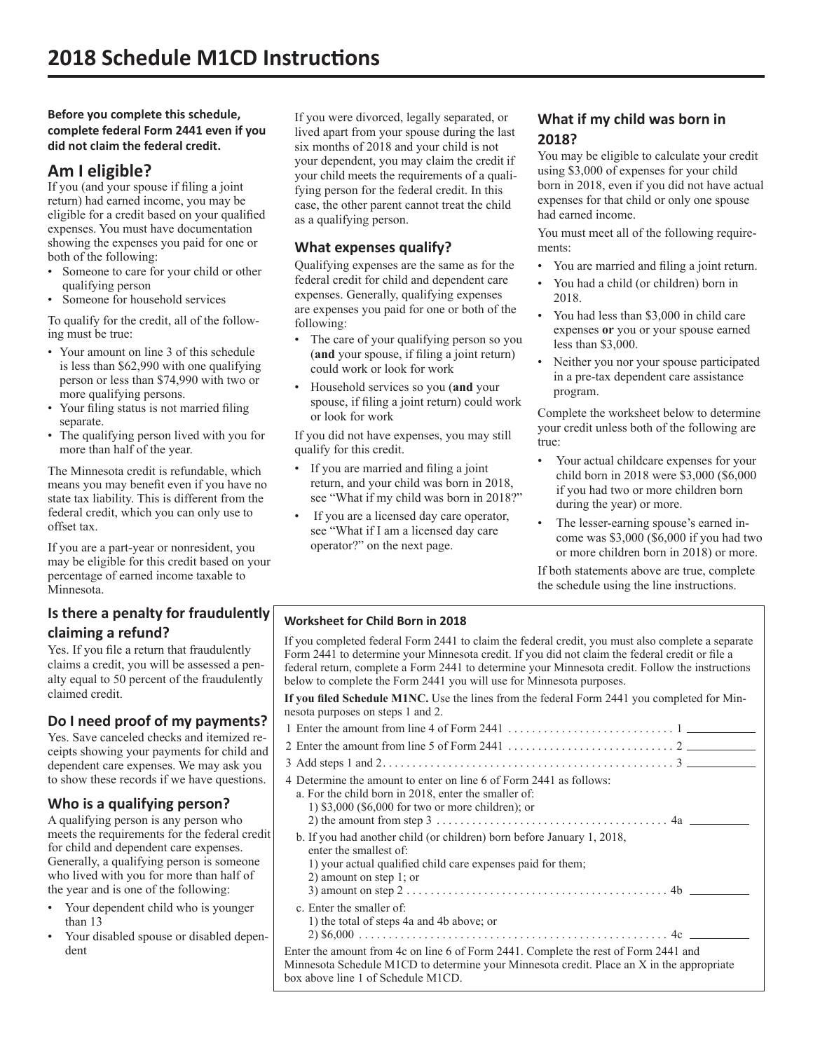**Before you complete this schedule, complete federal Form 2441 even if you did not claim the federal credit.**

# **Am I eligible?**

If you (and your spouse if filing a joint return) had earned income, you may be eligible for a credit based on your qualified expenses. You must have documentation showing the expenses you paid for one or both of the following:

- Someone to care for your child or other qualifying person
- Someone for household services

To qualify for the credit, all of the following must be true:

- Your amount on line 3 of this schedule is less than \$62,990 with one qualifying person or less than \$74,990 with two or more qualifying persons.
- Your filing status is not married filing separate.
- The qualifying person lived with you for more than half of the year.

The Minnesota credit is refundable, which means you may benefit even if you have no state tax liability. This is different from the federal credit, which you can only use to offset tax.

If you are a part-year or nonresident, you may be eligible for this credit based on your percentage of earned income taxable to Minnesota.

# **Is there a penalty for fraudulently claiming a refund?**

Yes. If you file a return that fraudulently claims a credit, you will be assessed a penalty equal to 50 percent of the fraudulently claimed credit.

# **Do I need proof of my payments?**

Yes. Save canceled checks and itemized receipts showing your payments for child and dependent care expenses. We may ask you to show these records if we have questions.

# **Who is a qualifying person?**

A qualifying person is any person who meets the requirements for the federal credit for child and dependent care expenses. Generally, a qualifying person is someone who lived with you for more than half of the year and is one of the following:

- Your dependent child who is younger than 13
- Your disabled spouse or disabled dependent

If you were divorced, legally separated, or lived apart from your spouse during the last six months of 2018 and your child is not your dependent, you may claim the credit if your child meets the requirements of a qualifying person for the federal credit. In this case, the other parent cannot treat the child as a qualifying person.

# **What expenses qualify?**

Qualifying expenses are the same as for the federal credit for child and dependent care expenses. Generally, qualifying expenses are expenses you paid for one or both of the following:

- The care of your qualifying person so you (**and** your spouse, if filing a joint return) could work or look for work
- Household services so you (**and** your spouse, if filing a joint return) could work or look for work

If you did not have expenses, you may still qualify for this credit.

- If you are married and filing a joint return, and your child was born in 2018, see "What if my child was born in 2018?"
- If you are a licensed day care operator, see "What if I am a licensed day care operator?" on the next page.

# **What if my child was born in 2018?**

You may be eligible to calculate your credit using \$3,000 of expenses for your child born in 2018, even if you did not have actual expenses for that child or only one spouse had earned income.

You must meet all of the following requirements:

- You are married and filing a joint return.
- You had a child (or children) born in 2018.
- You had less than \$3,000 in child care expenses **or** you or your spouse earned less than \$3,000.
- Neither you nor your spouse participated in a pre-tax dependent care assistance program.

Complete the worksheet below to determine your credit unless both of the following are true:

- Your actual childcare expenses for your child born in 2018 were \$3,000 (\$6,000 if you had two or more children born during the year) or more.
- The lesser-earning spouse's earned income was \$3,000 (\$6,000 if you had two or more children born in 2018) or more.

If both statements above are true, complete the schedule using the line instructions.

#### **Worksheet for Child Born in 2018**

If you completed federal Form 2441 to claim the federal credit, you must also complete a separate Form 2441 to determine your Minnesota credit. If you did not claim the federal credit or file a federal return, complete a Form 2441 to determine your Minnesota credit. Follow the instructions below to complete the Form 2441 you will use for Minnesota purposes.

**If you filed Schedule M1NC.** Use the lines from the federal Form 2441 you completed for Minnesota purposes on steps 1 and 2.

| 1 Enter the amount from line 4 of Form 2441 $\ldots$ . $\ldots$ . $\ldots$ . $\ldots$ . $\ldots$                                                                                                                       |  |  |  |  |
|------------------------------------------------------------------------------------------------------------------------------------------------------------------------------------------------------------------------|--|--|--|--|
|                                                                                                                                                                                                                        |  |  |  |  |
|                                                                                                                                                                                                                        |  |  |  |  |
| 4 Determine the amount to enter on line 6 of Form 2441 as follows:<br>a. For the child born in 2018, enter the smaller of:<br>1) $$3,000$ (\$6,000 for two or more children); or                                       |  |  |  |  |
| b. If you had another child (or children) born before January 1, 2018,<br>enter the smallest of:<br>1) your actual qualified child care expenses paid for them;<br>2) amount on step 1; or                             |  |  |  |  |
| c. Enter the smaller of:<br>1) the total of steps 4a and 4b above; or                                                                                                                                                  |  |  |  |  |
| Enter the amount from 4c on line 6 of Form 2441. Complete the rest of Form 2441 and<br>Minnesota Schedule M1CD to determine your Minnesota credit. Place an X in the appropriate<br>box above line 1 of Schedule M1CD. |  |  |  |  |